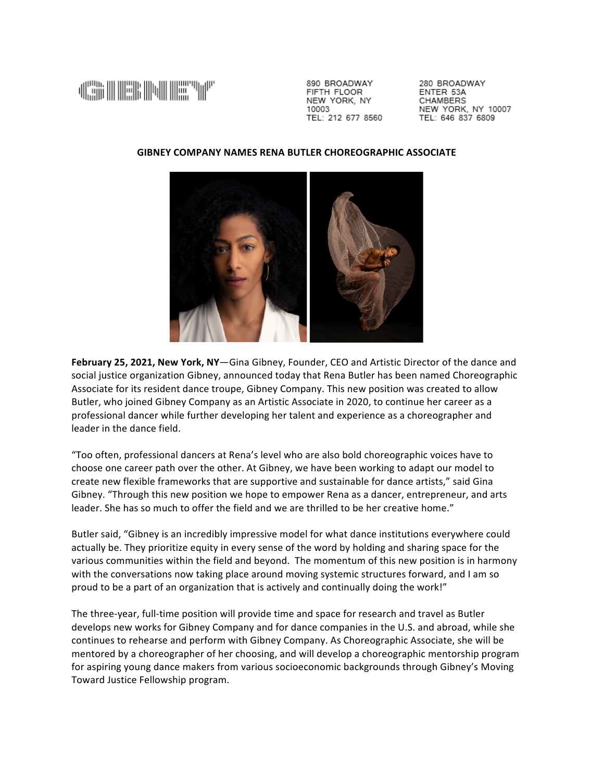

890 BROADWAY FIFTH FLOOR NEW YORK, NY 10003 TEL: 212 677 8560 280 BROADWAY FNTFR 53A CHAMBERS NEW YORK, NY 10007 TEL: 646 837 6809

## **GIBNEY COMPANY NAMES RENA BUTLER CHOREOGRAPHIC ASSOCIATE**



February 25, 2021, New York, NY-Gina Gibney, Founder, CEO and Artistic Director of the dance and social justice organization Gibney, announced today that Rena Butler has been named Choreographic Associate for its resident dance troupe, Gibney Company. This new position was created to allow Butler, who joined Gibney Company as an Artistic Associate in 2020, to continue her career as a professional dancer while further developing her talent and experience as a choreographer and leader in the dance field.

"Too often, professional dancers at Rena's level who are also bold choreographic voices have to choose one career path over the other. At Gibney, we have been working to adapt our model to create new flexible frameworks that are supportive and sustainable for dance artists," said Gina Gibney. "Through this new position we hope to empower Rena as a dancer, entrepreneur, and arts leader. She has so much to offer the field and we are thrilled to be her creative home."

Butler said, "Gibney is an incredibly impressive model for what dance institutions everywhere could actually be. They prioritize equity in every sense of the word by holding and sharing space for the various communities within the field and beyond. The momentum of this new position is in harmony with the conversations now taking place around moving systemic structures forward, and I am so proud to be a part of an organization that is actively and continually doing the work!"

The three-year, full-time position will provide time and space for research and travel as Butler develops new works for Gibney Company and for dance companies in the U.S. and abroad, while she continues to rehearse and perform with Gibney Company. As Choreographic Associate, she will be mentored by a choreographer of her choosing, and will develop a choreographic mentorship program for aspiring young dance makers from various socioeconomic backgrounds through Gibney's Moving Toward Justice Fellowship program.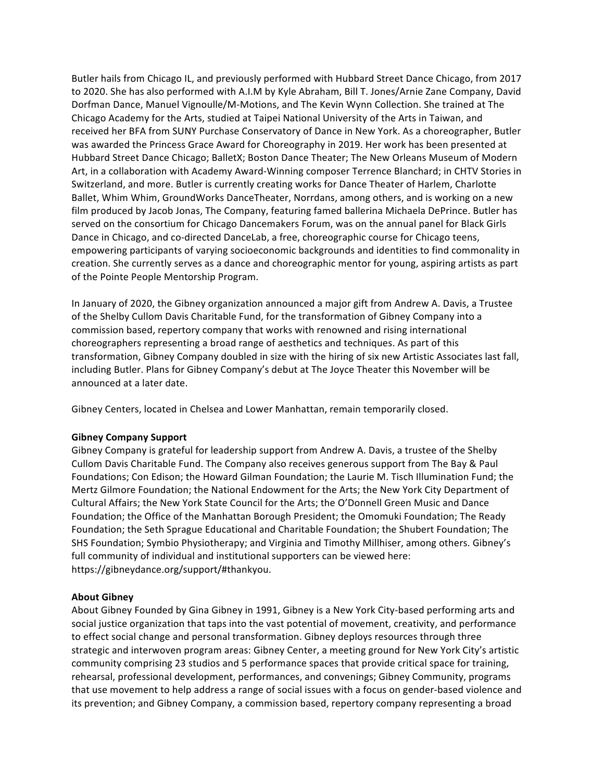Butler hails from Chicago IL, and previously performed with Hubbard Street Dance Chicago, from 2017 to 2020. She has also performed with A.I.M by Kyle Abraham, Bill T. Jones/Arnie Zane Company, David Dorfman Dance, Manuel Vignoulle/M-Motions, and The Kevin Wynn Collection. She trained at The Chicago Academy for the Arts, studied at Taipei National University of the Arts in Taiwan, and received her BFA from SUNY Purchase Conservatory of Dance in New York. As a choreographer, Butler was awarded the Princess Grace Award for Choreography in 2019. Her work has been presented at Hubbard Street Dance Chicago; BalletX; Boston Dance Theater; The New Orleans Museum of Modern Art, in a collaboration with Academy Award-Winning composer Terrence Blanchard; in CHTV Stories in Switzerland, and more. Butler is currently creating works for Dance Theater of Harlem, Charlotte Ballet, Whim Whim, GroundWorks DanceTheater, Norrdans, among others, and is working on a new film produced by Jacob Jonas, The Company, featuring famed ballerina Michaela DePrince. Butler has served on the consortium for Chicago Dancemakers Forum, was on the annual panel for Black Girls Dance in Chicago, and co-directed DanceLab, a free, choreographic course for Chicago teens, empowering participants of varying socioeconomic backgrounds and identities to find commonality in creation. She currently serves as a dance and choreographic mentor for young, aspiring artists as part of the Pointe People Mentorship Program.

In January of 2020, the Gibney organization announced a major gift from Andrew A. Davis, a Trustee of the Shelby Cullom Davis Charitable Fund, for the transformation of Gibney Company into a commission based, repertory company that works with renowned and rising international choreographers representing a broad range of aesthetics and techniques. As part of this transformation, Gibney Company doubled in size with the hiring of six new Artistic Associates last fall, including Butler. Plans for Gibney Company's debut at The Joyce Theater this November will be announced at a later date.

Gibney Centers, located in Chelsea and Lower Manhattan, remain temporarily closed.

## **Gibney Company Support**

Gibney Company is grateful for leadership support from Andrew A. Davis, a trustee of the Shelby Cullom Davis Charitable Fund. The Company also receives generous support from The Bay & Paul Foundations; Con Edison; the Howard Gilman Foundation; the Laurie M. Tisch Illumination Fund; the Mertz Gilmore Foundation; the National Endowment for the Arts; the New York City Department of Cultural Affairs; the New York State Council for the Arts; the O'Donnell Green Music and Dance Foundation; the Office of the Manhattan Borough President; the Omomuki Foundation; The Ready Foundation; the Seth Sprague Educational and Charitable Foundation; the Shubert Foundation; The SHS Foundation; Symbio Physiotherapy; and Virginia and Timothy Millhiser, among others. Gibney's full community of individual and institutional supporters can be viewed here: https://gibneydance.org/support/#thankyou.

## **About Gibney**

About Gibney Founded by Gina Gibney in 1991, Gibney is a New York City-based performing arts and social justice organization that taps into the vast potential of movement, creativity, and performance to effect social change and personal transformation. Gibney deploys resources through three strategic and interwoven program areas: Gibney Center, a meeting ground for New York City's artistic community comprising 23 studios and 5 performance spaces that provide critical space for training, rehearsal, professional development, performances, and convenings; Gibney Community, programs that use movement to help address a range of social issues with a focus on gender-based violence and its prevention; and Gibney Company, a commission based, repertory company representing a broad